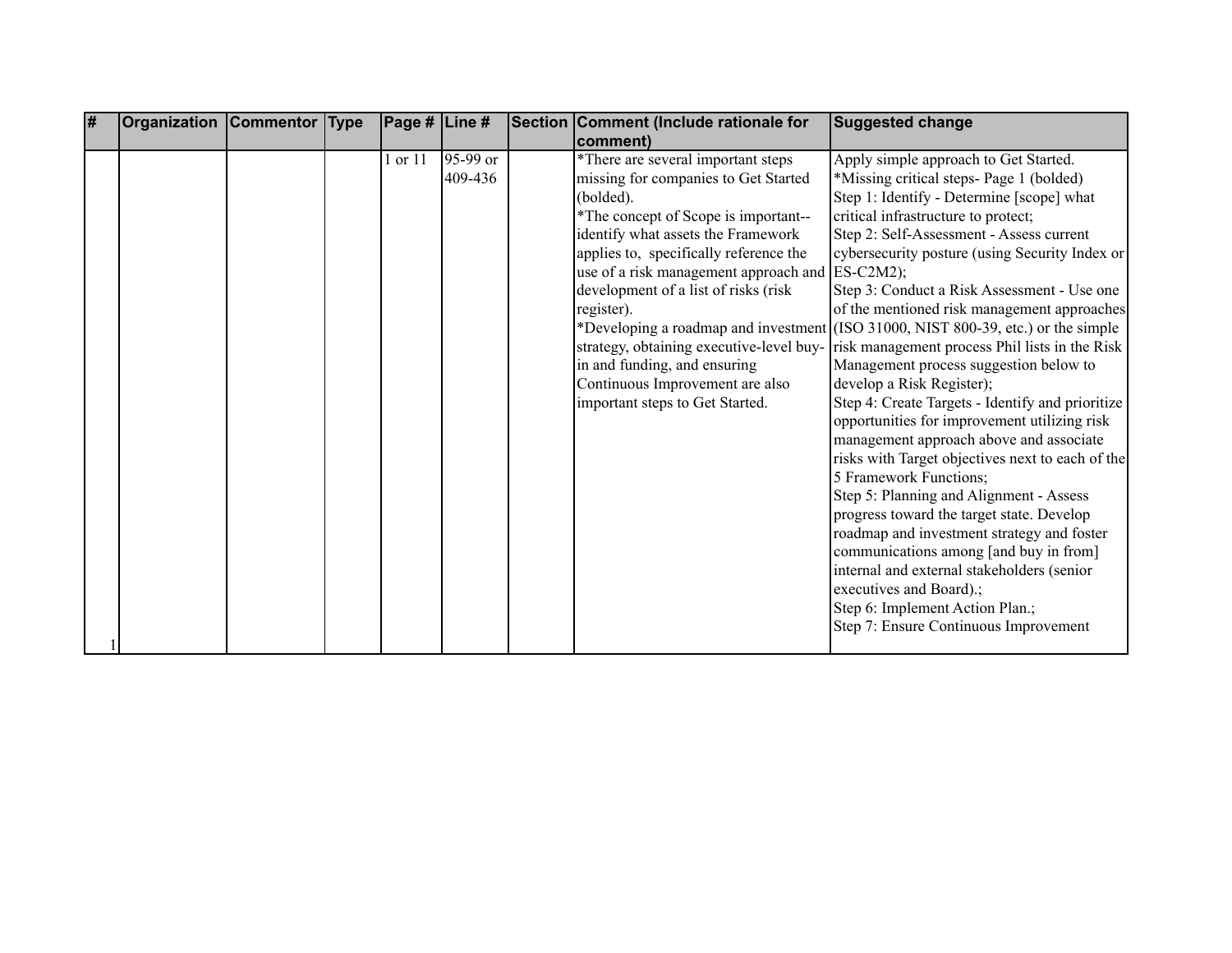| # | <b>Organization Commentor Type</b> |  | $\vert$ Page # $\vert$ Line # |                       | Section Comment (Include rationale for                                     | <b>Suggested change</b>                                                           |
|---|------------------------------------|--|-------------------------------|-----------------------|----------------------------------------------------------------------------|-----------------------------------------------------------------------------------|
|   |                                    |  |                               |                       | comment)                                                                   |                                                                                   |
|   |                                    |  | 1 or 11                       | $95-99$ or<br>409-436 | *There are several important steps<br>missing for companies to Get Started | Apply simple approach to Get Started.<br>*Missing critical steps- Page 1 (bolded) |
|   |                                    |  |                               |                       | (bolded).                                                                  | Step 1: Identify - Determine [scope] what                                         |
|   |                                    |  |                               |                       | *The concept of Scope is important--                                       | critical infrastructure to protect;                                               |
|   |                                    |  |                               |                       | identify what assets the Framework                                         | Step 2: Self-Assessment - Assess current                                          |
|   |                                    |  |                               |                       | applies to, specifically reference the                                     | cybersecurity posture (using Security Index or                                    |
|   |                                    |  |                               |                       | use of a risk management approach and                                      | $ES-C2M2);$                                                                       |
|   |                                    |  |                               |                       | development of a list of risks (risk                                       | Step 3: Conduct a Risk Assessment - Use one                                       |
|   |                                    |  |                               |                       | register).                                                                 | of the mentioned risk management approaches                                       |
|   |                                    |  |                               |                       |                                                                            | *Developing a roadmap and investment (ISO 31000, NIST 800-39, etc.) or the simple |
|   |                                    |  |                               |                       | strategy, obtaining executive-level buy-                                   | risk management process Phil lists in the Risk                                    |
|   |                                    |  |                               |                       | in and funding, and ensuring                                               | Management process suggestion below to                                            |
|   |                                    |  |                               |                       | Continuous Improvement are also                                            | develop a Risk Register);                                                         |
|   |                                    |  |                               |                       | important steps to Get Started.                                            | Step 4: Create Targets - Identify and prioritize                                  |
|   |                                    |  |                               |                       |                                                                            | opportunities for improvement utilizing risk                                      |
|   |                                    |  |                               |                       |                                                                            | management approach above and associate                                           |
|   |                                    |  |                               |                       |                                                                            | risks with Target objectives next to each of the                                  |
|   |                                    |  |                               |                       |                                                                            | 5 Framework Functions;                                                            |
|   |                                    |  |                               |                       |                                                                            | Step 5: Planning and Alignment - Assess                                           |
|   |                                    |  |                               |                       |                                                                            | progress toward the target state. Develop                                         |
|   |                                    |  |                               |                       |                                                                            | roadmap and investment strategy and foster                                        |
|   |                                    |  |                               |                       |                                                                            | communications among [and buy in from]                                            |
|   |                                    |  |                               |                       |                                                                            | internal and external stakeholders (senior                                        |
|   |                                    |  |                               |                       |                                                                            | executives and Board).;                                                           |
|   |                                    |  |                               |                       |                                                                            | Step 6: Implement Action Plan.;                                                   |
|   |                                    |  |                               |                       |                                                                            | Step 7: Ensure Continuous Improvement                                             |
|   |                                    |  |                               |                       |                                                                            |                                                                                   |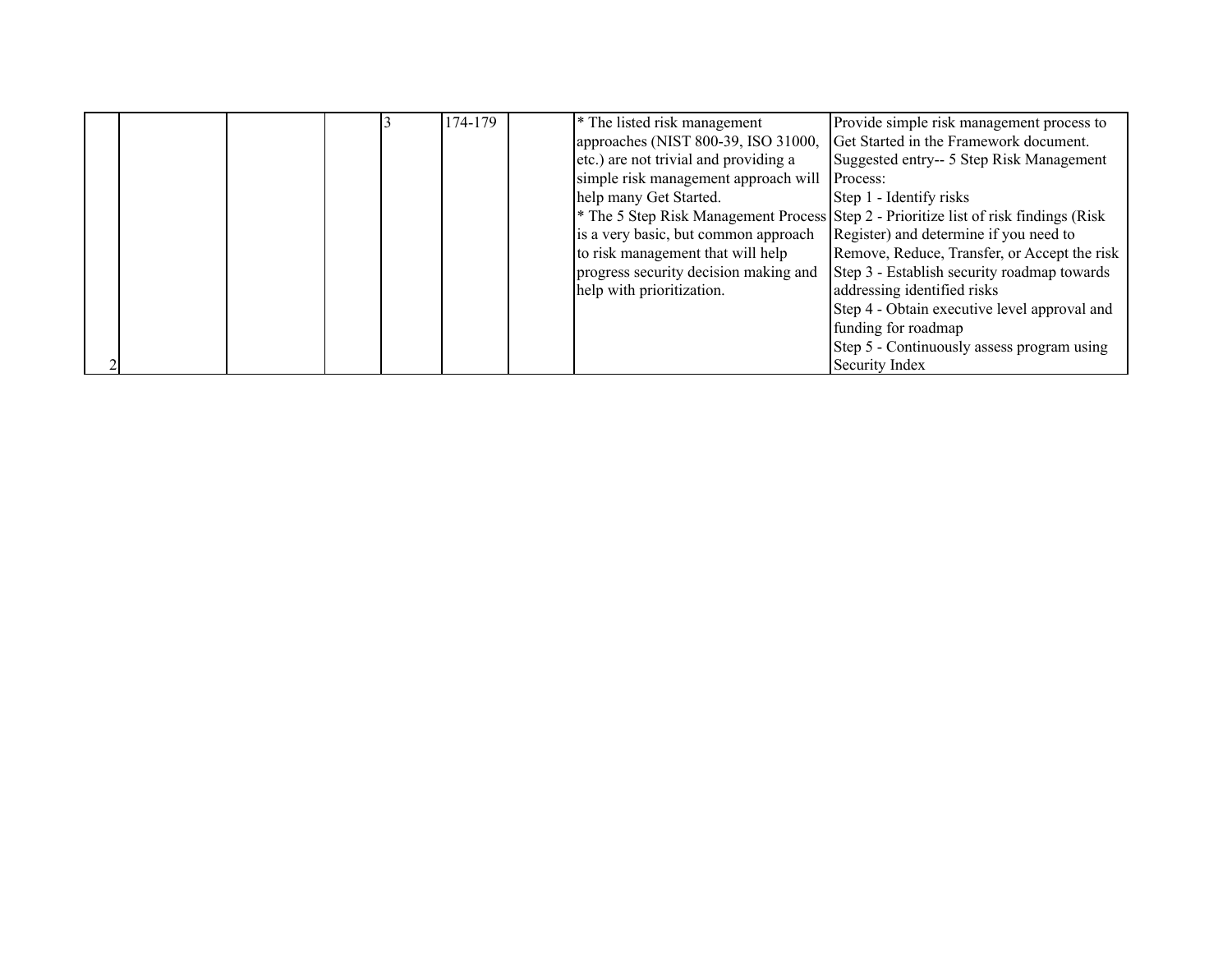|  |  | 174-179 | <sup>*</sup> The listed risk management | Provide simple risk management process to                                                       |
|--|--|---------|-----------------------------------------|-------------------------------------------------------------------------------------------------|
|  |  |         | approaches (NIST 800-39, ISO 31000,     | Get Started in the Framework document.                                                          |
|  |  |         | etc.) are not trivial and providing a   | Suggested entry-- 5 Step Risk Management                                                        |
|  |  |         | simple risk management approach will    | Process:                                                                                        |
|  |  |         | help many Get Started.                  | Step 1 - Identify risks                                                                         |
|  |  |         |                                         | <sup>*</sup> The 5 Step Risk Management Process Step 2 - Prioritize list of risk findings (Risk |
|  |  |         | is a very basic, but common approach    | Register) and determine if you need to                                                          |
|  |  |         | to risk management that will help       | Remove, Reduce, Transfer, or Accept the risk                                                    |
|  |  |         | progress security decision making and   | Step 3 - Establish security roadmap towards                                                     |
|  |  |         | help with prioritization.               | addressing identified risks                                                                     |
|  |  |         |                                         | Step 4 - Obtain executive level approval and                                                    |
|  |  |         |                                         | funding for roadmap                                                                             |
|  |  |         |                                         | Step 5 - Continuously assess program using                                                      |
|  |  |         |                                         | Security Index                                                                                  |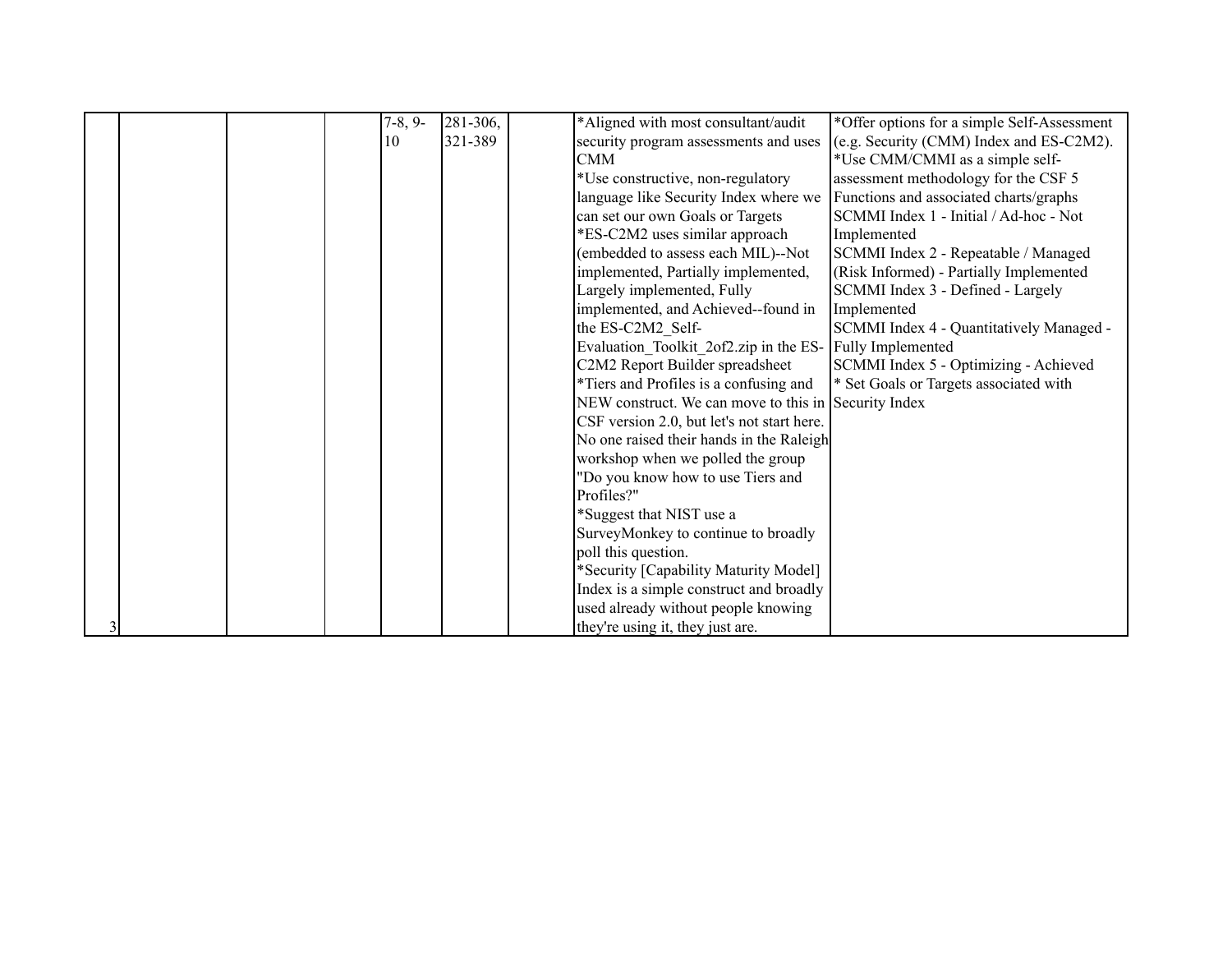|  |  | $7-8, 9-$ | 281-306, | *Aligned with most consultant/audit                  | *Offer options for a simple Self-Assessment |
|--|--|-----------|----------|------------------------------------------------------|---------------------------------------------|
|  |  | 10        | 1321-389 | security program assessments and uses                | (e.g. Security (CMM) Index and ES-C2M2).    |
|  |  |           |          | <b>CMM</b>                                           | *Use CMM/CMMI as a simple self-             |
|  |  |           |          | *Use constructive, non-regulatory                    | assessment methodology for the CSF 5        |
|  |  |           |          | language like Security Index where we                | Functions and associated charts/graphs      |
|  |  |           |          | can set our own Goals or Targets                     | SCMMI Index 1 - Initial / Ad-hoc - Not      |
|  |  |           |          | *ES-C2M2 uses similar approach                       | Implemented                                 |
|  |  |           |          | (embedded to assess each MIL)--Not                   | SCMMI Index 2 - Repeatable / Managed        |
|  |  |           |          | implemented, Partially implemented,                  | (Risk Informed) - Partially Implemented     |
|  |  |           |          | Largely implemented, Fully                           | SCMMI Index 3 - Defined - Largely           |
|  |  |           |          | implemented, and Achieved--found in                  | Implemented                                 |
|  |  |           |          | the ES-C2M2 Self-                                    | SCMMI Index 4 - Quantitatively Managed -    |
|  |  |           |          | Evaluation Toolkit 2of2.zip in the ES-               | Fully Implemented                           |
|  |  |           |          | C2M2 Report Builder spreadsheet                      | SCMMI Index 5 - Optimizing - Achieved       |
|  |  |           |          | *Tiers and Profiles is a confusing and               | * Set Goals or Targets associated with      |
|  |  |           |          | NEW construct. We can move to this in Security Index |                                             |
|  |  |           |          | CSF version 2.0, but let's not start here.           |                                             |
|  |  |           |          | No one raised their hands in the Raleigh             |                                             |
|  |  |           |          | workshop when we polled the group                    |                                             |
|  |  |           |          | "Do you know how to use Tiers and                    |                                             |
|  |  |           |          | Profiles?"                                           |                                             |
|  |  |           |          | *Suggest that NIST use a                             |                                             |
|  |  |           |          | SurveyMonkey to continue to broadly                  |                                             |
|  |  |           |          | poll this question.                                  |                                             |
|  |  |           |          | *Security [Capability Maturity Model]                |                                             |
|  |  |           |          | Index is a simple construct and broadly              |                                             |
|  |  |           |          | used already without people knowing                  |                                             |
|  |  |           |          | they're using it, they just are.                     |                                             |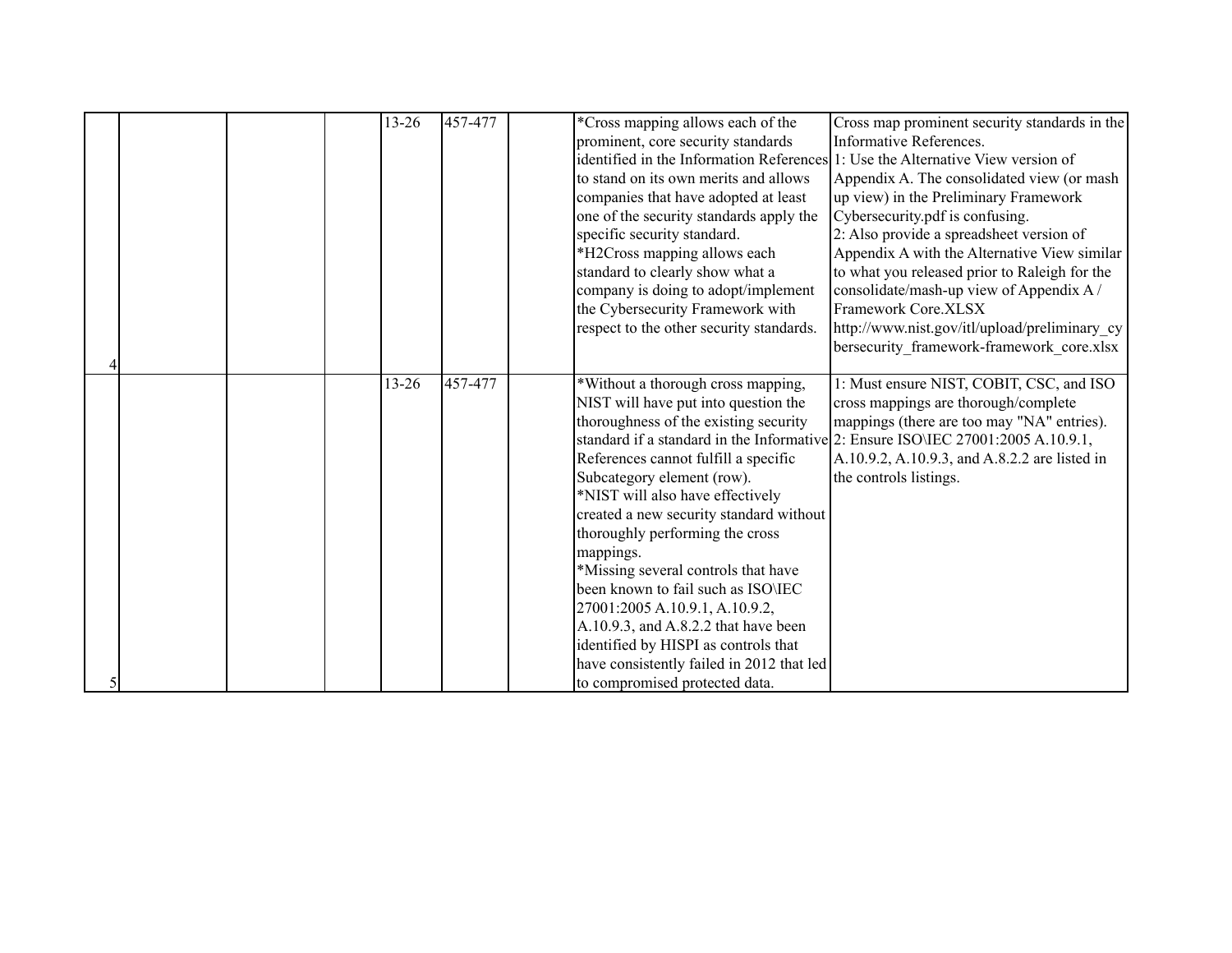|  |  | $13 - 26$ | 457-477 | *Cross mapping allows each of the<br>prominent, core security standards<br>identified in the Information References 1: Use the Alternative View version of<br>to stand on its own merits and allows<br>companies that have adopted at least<br>one of the security standards apply the<br>specific security standard.<br>*H2Cross mapping allows each<br>standard to clearly show what a<br>company is doing to adopt/implement<br>the Cybersecurity Framework with<br>respect to the other security standards.                                                                                        | Cross map prominent security standards in the<br>Informative References.<br>Appendix A. The consolidated view (or mash<br>up view) in the Preliminary Framework<br>Cybersecurity.pdf is confusing.<br>2: Also provide a spreadsheet version of<br>Appendix A with the Alternative View similar<br>to what you released prior to Raleigh for the<br>consolidate/mash-up view of Appendix A/<br>Framework Core.XLSX<br>http://www.nist.gov/itl/upload/preliminary cy<br>bersecurity framework-framework core.xlsx |
|--|--|-----------|---------|--------------------------------------------------------------------------------------------------------------------------------------------------------------------------------------------------------------------------------------------------------------------------------------------------------------------------------------------------------------------------------------------------------------------------------------------------------------------------------------------------------------------------------------------------------------------------------------------------------|-----------------------------------------------------------------------------------------------------------------------------------------------------------------------------------------------------------------------------------------------------------------------------------------------------------------------------------------------------------------------------------------------------------------------------------------------------------------------------------------------------------------|
|  |  | 13-26     | 457-477 | *Without a thorough cross mapping,<br>NIST will have put into question the<br>thoroughness of the existing security<br>References cannot fulfill a specific<br>Subcategory element (row).<br>*NIST will also have effectively<br>created a new security standard without<br>thoroughly performing the cross<br>mappings.<br>*Missing several controls that have<br>been known to fail such as ISO\IEC<br>27001:2005 A.10.9.1, A.10.9.2,<br>A.10.9.3, and A.8.2.2 that have been<br>identified by HISPI as controls that<br>have consistently failed in 2012 that led<br>to compromised protected data. | 1: Must ensure NIST, COBIT, CSC, and ISO<br>cross mappings are thorough/complete<br>mappings (there are too may "NA" entries).<br>standard if a standard in the Informative 2: Ensure ISO\IEC 27001:2005 A.10.9.1,<br>A.10.9.2, A.10.9.3, and A.8.2.2 are listed in<br>the controls listings.                                                                                                                                                                                                                   |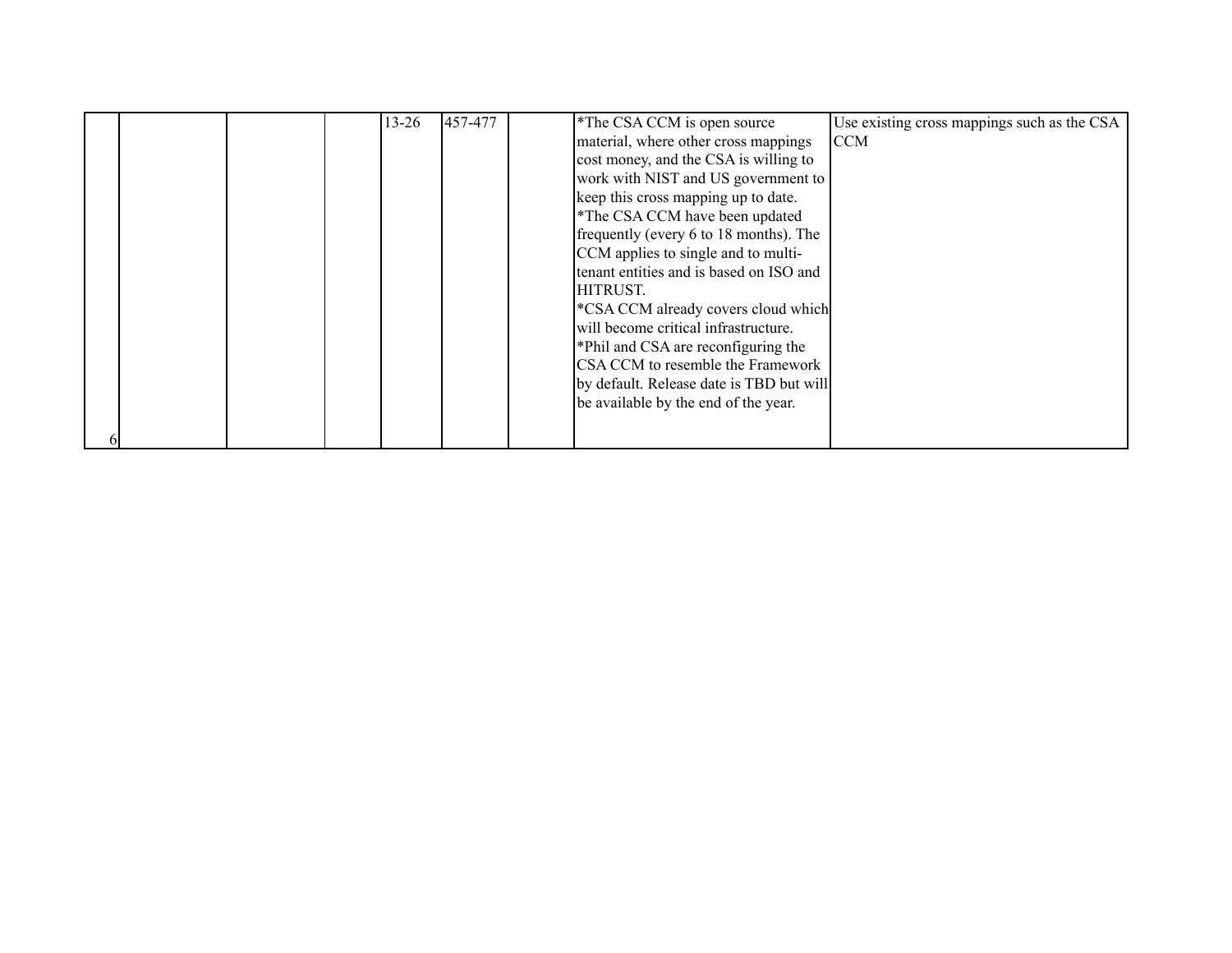|  |  | 13-26 | 457-477 | *The CSA CCM is open source                   | Use existing cross mappings such as the CSA |
|--|--|-------|---------|-----------------------------------------------|---------------------------------------------|
|  |  |       |         | material, where other cross mappings          | ICCM                                        |
|  |  |       |         | cost money, and the CSA is willing to         |                                             |
|  |  |       |         | work with NIST and US government to           |                                             |
|  |  |       |         | keep this cross mapping up to date.           |                                             |
|  |  |       |         | *The CSA CCM have been updated                |                                             |
|  |  |       |         | frequently (every 6 to 18 months). The        |                                             |
|  |  |       |         | CCM applies to single and to multi-           |                                             |
|  |  |       |         | tenant entities and is based on ISO and       |                                             |
|  |  |       |         | HITRUST.                                      |                                             |
|  |  |       |         | <b>EXAMPLE COM</b> already covers cloud which |                                             |
|  |  |       |         | will become critical infrastructure.          |                                             |
|  |  |       |         | *Phil and CSA are reconfiguring the           |                                             |
|  |  |       |         | CSA CCM to resemble the Framework             |                                             |
|  |  |       |         | by default. Release date is TBD but will      |                                             |
|  |  |       |         | be available by the end of the year.          |                                             |
|  |  |       |         |                                               |                                             |
|  |  |       |         |                                               |                                             |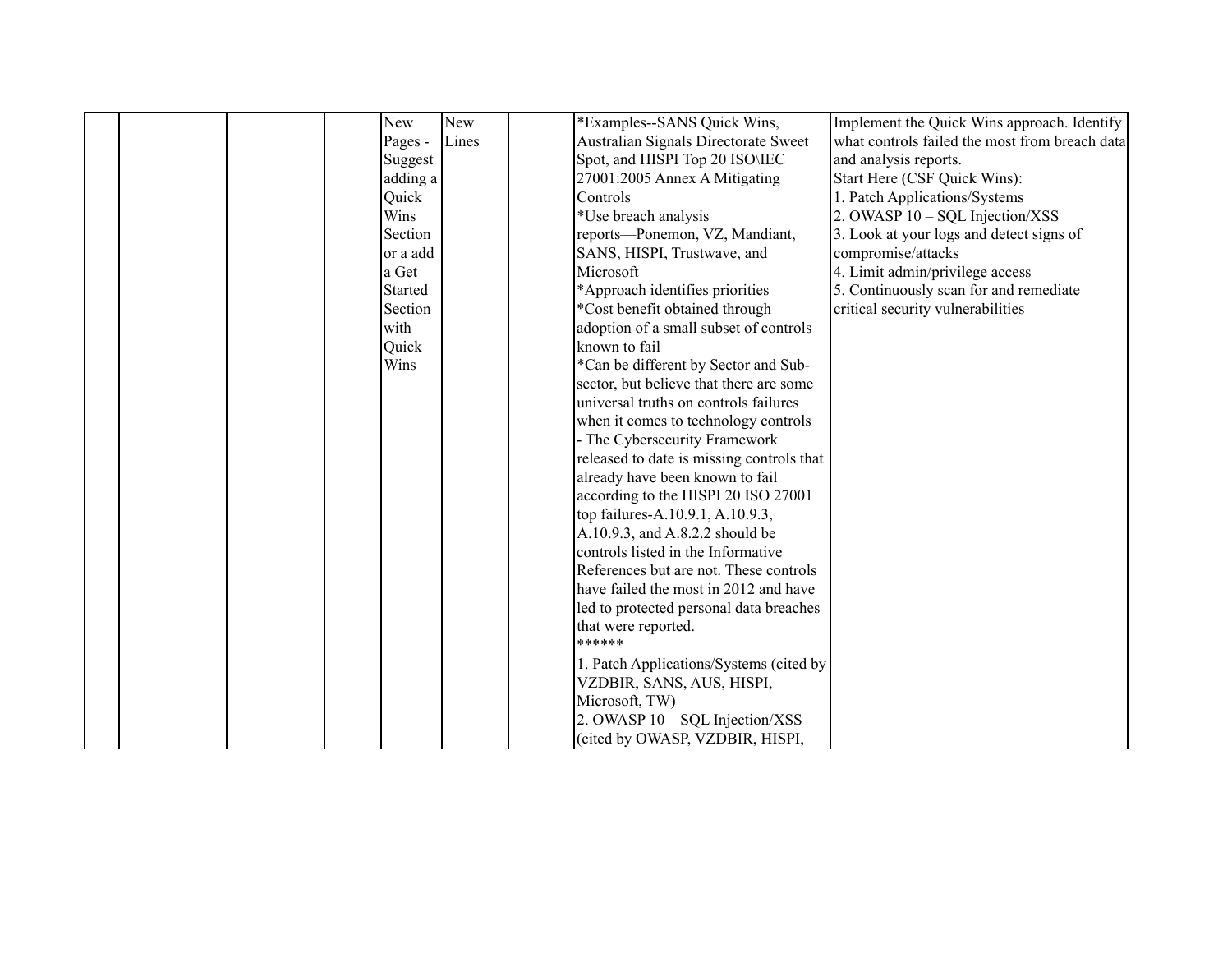|  | New            | New   | *Examples--SANS Quick Wins,               | Implement the Quick Wins approach. Identify    |
|--|----------------|-------|-------------------------------------------|------------------------------------------------|
|  | Pages -        | Lines | Australian Signals Directorate Sweet      | what controls failed the most from breach data |
|  | Suggest        |       | Spot, and HISPI Top 20 ISO\IEC            | and analysis reports.                          |
|  | adding a       |       | 27001:2005 Annex A Mitigating             | Start Here (CSF Quick Wins):                   |
|  | Quick          |       | Controls                                  | 1. Patch Applications/Systems                  |
|  | Wins           |       | *Use breach analysis                      | 2. OWASP 10 - SQL Injection/XSS                |
|  | Section        |       | reports-Ponemon, VZ, Mandiant,            | 3. Look at your logs and detect signs of       |
|  | or a add       |       | SANS, HISPI, Trustwave, and               | compromise/attacks                             |
|  | a Get          |       | Microsoft                                 | 4. Limit admin/privilege access                |
|  | <b>Started</b> |       | *Approach identifies priorities           | 5. Continuously scan for and remediate         |
|  | Section        |       | *Cost benefit obtained through            | critical security vulnerabilities              |
|  | with           |       | adoption of a small subset of controls    |                                                |
|  | Quick          |       | known to fail                             |                                                |
|  | Wins           |       | *Can be different by Sector and Sub-      |                                                |
|  |                |       | sector, but believe that there are some   |                                                |
|  |                |       | universal truths on controls failures     |                                                |
|  |                |       | when it comes to technology controls      |                                                |
|  |                |       | - The Cybersecurity Framework             |                                                |
|  |                |       | released to date is missing controls that |                                                |
|  |                |       | already have been known to fail           |                                                |
|  |                |       | according to the HISPI 20 ISO 27001       |                                                |
|  |                |       | top failures-A.10.9.1, A.10.9.3,          |                                                |
|  |                |       | A.10.9.3, and A.8.2.2 should be           |                                                |
|  |                |       | controls listed in the Informative        |                                                |
|  |                |       | References but are not. These controls    |                                                |
|  |                |       | have failed the most in 2012 and have     |                                                |
|  |                |       | led to protected personal data breaches   |                                                |
|  |                |       | that were reported.<br>******             |                                                |
|  |                |       |                                           |                                                |
|  |                |       | 1. Patch Applications/Systems (cited by   |                                                |
|  |                |       | VZDBIR, SANS, AUS, HISPI,                 |                                                |
|  |                |       | Microsoft, TW)                            |                                                |
|  |                |       | 2. OWASP 10 - SQL Injection/XSS           |                                                |
|  |                |       | (cited by OWASP, VZDBIR, HISPI,           |                                                |